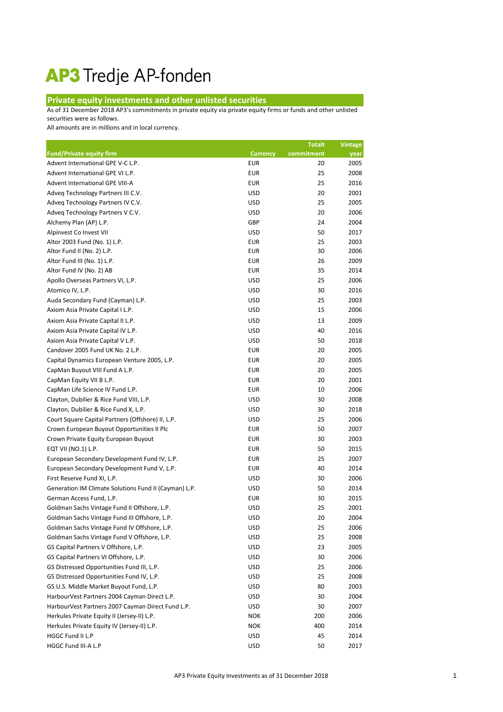## AP3 Tredje AP-fonden

## **Private equity investments and other unlisted securities**

As of 31 December 2018 AP3's commitments in private equity via private equity firms or funds and other unlisted securities were as follows.

All amounts are in millions and in local currency.

|                                                       |                 | <b>Totalt</b> | <b>Vintage</b> |
|-------------------------------------------------------|-----------------|---------------|----------------|
| <b>Fund/Private equity firm</b>                       | <b>Currency</b> | commitment    | year           |
| Advent International GPE V-C L.P.                     | <b>EUR</b>      | 20            | 2005           |
| Advent International GPE VI L.P.                      | <b>EUR</b>      | 25            | 2008           |
| Advent International GPE VIII-A                       | <b>EUR</b>      | 25            | 2016           |
| Adveq Technology Partners III C.V.                    | <b>USD</b>      | 20            | 2001           |
| Adveq Technology Partners IV C.V.                     | <b>USD</b>      | 25            | 2005           |
| Adveq Technology Partners V C.V.                      | <b>USD</b>      | 20            | 2006           |
| Alchemy Plan (AP) L.P.                                | GBP             | 24            | 2004           |
| Alpinvest Co Invest VII                               | <b>USD</b>      | 50            | 2017           |
| Altor 2003 Fund (No. 1) L.P.                          | <b>EUR</b>      | 25            | 2003           |
| Altor Fund II (No. 2) L.P.                            | <b>EUR</b>      | 30            | 2006           |
| Altor Fund III (No. 1) L.P.                           | <b>EUR</b>      | 26            | 2009           |
| Altor Fund IV (No. 2) AB                              | <b>EUR</b>      | 35            | 2014           |
| Apollo Overseas Partners VI, L.P.                     | <b>USD</b>      | 25            | 2006           |
| Atomico IV, L.P.                                      | <b>USD</b>      | 30            | 2016           |
| Auda Secondary Fund (Cayman) L.P.                     | <b>USD</b>      | 25            | 2003           |
| Axiom Asia Private Capital I L.P.                     | <b>USD</b>      | 15            | 2006           |
| Axiom Asia Private Capital II L.P.                    | <b>USD</b>      | 13            | 2009           |
| Axiom Asia Private Capital IV L.P.                    | <b>USD</b>      | 40            | 2016           |
| Axiom Asia Private Capital V L.P.                     | <b>USD</b>      | 50            | 2018           |
| Candover 2005 Fund UK No. 2 L.P.                      | <b>EUR</b>      | 20            | 2005           |
| Capital Dynamics European Venture 2005, L.P.          | <b>EUR</b>      | 20            | 2005           |
| CapMan Buyout VIII Fund A L.P.                        | <b>EUR</b>      | 20            | 2005           |
| CapMan Equity VII B L.P.                              | <b>EUR</b>      | 20            | 2001           |
| CapMan Life Science IV Fund L.P.                      | <b>EUR</b>      | 10            | 2006           |
| Clayton, Dubilier & Rice Fund VIII, L.P.              | <b>USD</b>      | 30            | 2008           |
| Clayton, Dubilier & Rice Fund X, L.P.                 | <b>USD</b>      | 30            | 2018           |
| Court Square Capital Partners (Offshore) II, L.P.     | <b>USD</b>      | 25            | 2006           |
| Crown European Buyout Opportunities II Plc            | <b>EUR</b>      | 50            | 2007           |
| Crown Private Equity European Buyout                  | <b>EUR</b>      | 30            | 2003           |
| EQT VII (NO.1) L.P.                                   | <b>EUR</b>      | 50            | 2015           |
| European Secondary Development Fund IV, L.P.          | <b>EUR</b>      | 25            | 2007           |
| European Secondary Development Fund V, L.P.           | <b>EUR</b>      | 40            | 2014           |
| First Reserve Fund XI, L.P.                           | <b>USD</b>      | 30            | 2006           |
| Generation IM Climate Solutions Fund II (Cayman) L.P. | <b>USD</b>      | 50            | 2014           |
| German Access Fund, L.P.                              | <b>EUR</b>      | 30            | 2015           |
| Goldman Sachs Vintage Fund II Offshore, L.P.          | <b>USD</b>      | 25            | 2001           |
| Goldman Sachs Vintage Fund III Offshore, L.P.         | <b>USD</b>      | 20            | 2004           |
| Goldman Sachs Vintage Fund IV Offshore, L.P.          | <b>USD</b>      | 25            | 2006           |
| Goldman Sachs Vintage Fund V Offshore, L.P.           | <b>USD</b>      | 25            | 2008           |
| GS Capital Partners V Offshore, L.P.                  | <b>USD</b>      | 23            | 2005           |
| GS Capital Partners VI Offshore, L.P.                 | <b>USD</b>      | 30            | 2006           |
| GS Distressed Opportunities Fund III, L.P.            | <b>USD</b>      | 25            | 2006           |
| GS Distressed Opportunities Fund IV, L.P.             | <b>USD</b>      | 25            | 2008           |
| GS U.S. Middle Market Buyout Fund, L.P.               | <b>USD</b>      | 80            | 2003           |
| HarbourVest Partners 2004 Cayman Direct L.P.          | <b>USD</b>      | 30            | 2004           |
| HarbourVest Partners 2007 Cayman Direct Fund L.P.     | <b>USD</b>      | 30            | 2007           |
| Herkules Private Equity II (Jersey-II) L.P.           | <b>NOK</b>      | 200           | 2006           |
| Herkules Private Equity IV (Jersey-II) L.P.           | <b>NOK</b>      | 400           | 2014           |
| HGGC Fund II L.P                                      | <b>USD</b>      | 45            | 2014           |
| HGGC Fund III-A L.P                                   | <b>USD</b>      | 50            | 2017           |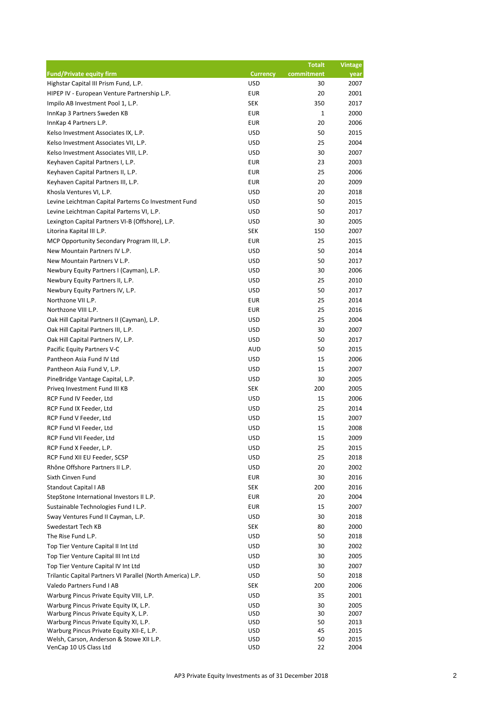|                                                                                     |                          | <b>Totalt</b> | <b>Vintage</b> |
|-------------------------------------------------------------------------------------|--------------------------|---------------|----------------|
| <b>Fund/Private equity firm</b>                                                     | <b>Currency</b>          | commitment    | year           |
| Highstar Capital III Prism Fund, L.P.                                               | <b>USD</b>               | 30            | 2007           |
| HIPEP IV - European Venture Partnership L.P.                                        | <b>EUR</b>               | 20            | 2001           |
| Impilo AB Investment Pool 1, L.P.                                                   | <b>SEK</b>               | 350           | 2017           |
| InnKap 3 Partners Sweden KB                                                         | <b>EUR</b>               | $\mathbf{1}$  | 2000           |
| InnKap 4 Partners L.P.                                                              | <b>EUR</b>               | 20            | 2006           |
| Kelso Investment Associates IX, L.P.                                                | <b>USD</b>               | 50            | 2015           |
| Kelso Investment Associates VII, L.P.                                               | <b>USD</b>               | 25            | 2004           |
| Kelso Investment Associates VIII, L.P.                                              | <b>USD</b>               | 30            | 2007           |
| Keyhaven Capital Partners I, L.P.                                                   | <b>EUR</b>               | 23            | 2003           |
| Keyhaven Capital Partners II, L.P.                                                  | <b>EUR</b>               | 25            | 2006           |
| Keyhaven Capital Partners III, L.P.                                                 | <b>EUR</b>               | 20            | 2009           |
| Khosla Ventures VI, L.P.                                                            | <b>USD</b>               | 20            | 2018           |
| Levine Leichtman Capital Parterns Co Investment Fund                                | <b>USD</b>               | 50            | 2015           |
| Levine Leichtman Capital Parterns VI, L.P.                                          | <b>USD</b>               | 50            | 2017           |
| Lexington Capital Partners VI-B (Offshore), L.P.                                    | <b>USD</b>               | 30            | 2005           |
| Litorina Kapital III L.P.                                                           | <b>SEK</b>               | 150           | 2007           |
| MCP Opportunity Secondary Program III, L.P.                                         | <b>EUR</b>               | 25            | 2015           |
| New Mountain Partners IV L.P.                                                       | <b>USD</b>               | 50            | 2014           |
| New Mountain Partners V L.P.                                                        | <b>USD</b>               | 50            | 2017           |
| Newbury Equity Partners I (Cayman), L.P.                                            | <b>USD</b>               | 30            | 2006           |
| Newbury Equity Partners II, L.P.                                                    | <b>USD</b>               | 25            | 2010           |
| Newbury Equity Partners IV, L.P.                                                    | <b>USD</b>               | 50            | 2017           |
| Northzone VII L.P.                                                                  | <b>EUR</b>               | 25            | 2014           |
| Northzone VIII L.P.                                                                 | <b>EUR</b>               | 25            | 2016           |
| Oak Hill Capital Partners II (Cayman), L.P.                                         | <b>USD</b>               | 25            | 2004           |
| Oak Hill Capital Partners III, L.P.                                                 | <b>USD</b>               | 30            | 2007           |
| Oak Hill Capital Partners IV, L.P.                                                  | <b>USD</b>               | 50            | 2017           |
| Pacific Equity Partners V-C                                                         | <b>AUD</b>               | 50            | 2015           |
| Pantheon Asia Fund IV Ltd                                                           | <b>USD</b>               | 15            | 2006           |
| Pantheon Asia Fund V, L.P.                                                          | <b>USD</b>               | 15            | 2007           |
| PineBridge Vantage Capital, L.P.                                                    | <b>USD</b>               | 30            | 2005           |
| Priveg Investment Fund III KB                                                       | SEK                      | 200           | 2005           |
| RCP Fund IV Feeder, Ltd                                                             | <b>USD</b>               | 15            | 2006           |
| RCP Fund IX Feeder, Ltd                                                             | <b>USD</b>               | 25            | 2014           |
| RCP Fund V Feeder, Ltd                                                              | <b>USD</b>               | 15            | 2007           |
| RCP Fund VI Feeder, Ltd                                                             | <b>USD</b>               | 15            | 2008           |
| RCP Fund VII Feeder, Ltd                                                            | <b>USD</b>               | 15            | 2009           |
| RCP Fund X Feeder, L.P.                                                             | <b>USD</b>               | 25            | 2015           |
| RCP Fund XII EU Feeder, SCSP                                                        | <b>USD</b>               | 25            | 2018           |
| Rhône Offshore Partners II L.P.                                                     | <b>USD</b>               | 20            | 2002           |
| Sixth Cinven Fund                                                                   | <b>EUR</b>               | 30            | 2016           |
| <b>Standout Capital I AB</b>                                                        | <b>SEK</b>               | 200           | 2016           |
| StepStone International Investors II L.P.                                           | <b>EUR</b>               | 20            | 2004           |
| Sustainable Technologies Fund I L.P.                                                | <b>EUR</b>               | 15            | 2007           |
| Sway Ventures Fund II Cayman, L.P.                                                  | <b>USD</b>               | 30            | 2018           |
| Swedestart Tech KB                                                                  | <b>SEK</b>               | 80            | 2000           |
| The Rise Fund L.P.                                                                  | <b>USD</b>               | 50            | 2018           |
| Top Tier Venture Capital II Int Ltd                                                 | <b>USD</b>               | 30            | 2002           |
| Top Tier Venture Capital III Int Ltd                                                | <b>USD</b>               | 30            | 2005           |
| Top Tier Venture Capital IV Int Ltd                                                 | <b>USD</b>               | 30            | 2007           |
| Trilantic Capital Partners VI Parallel (North America) L.P.                         | <b>USD</b>               | 50            | 2018           |
| Valedo Partners Fund I AB                                                           | <b>SEK</b>               | 200           | 2006           |
| Warburg Pincus Private Equity VIII, L.P.                                            | <b>USD</b>               | 35            | 2001           |
| Warburg Pincus Private Equity IX, L.P.                                              | <b>USD</b>               | 30            | 2005           |
| Warburg Pincus Private Equity X, L.P.                                               | <b>USD</b>               | 30            | 2007           |
| Warburg Pincus Private Equity XI, L.P.<br>Warburg Pincus Private Equity XII-E, L.P. | <b>USD</b><br><b>USD</b> | 50<br>45      | 2013<br>2015   |
| Welsh, Carson, Anderson & Stowe XII L.P.                                            | <b>USD</b>               | 50            | 2015           |
| VenCap 10 US Class Ltd                                                              | <b>USD</b>               | 22            | 2004           |